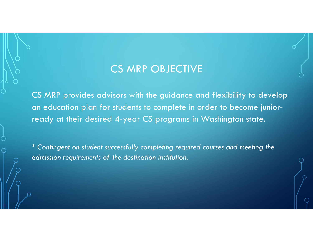## CS MRP OBJECTIVE

CS MRP provides advisors with the guidance and flexibility to develop an education plan for students to complete in order to become juniorready at their desired 4-year CS programs in Washington state.

\* Contingent on student successfully completing required courses and meeting the admission requirements of the destination institution.